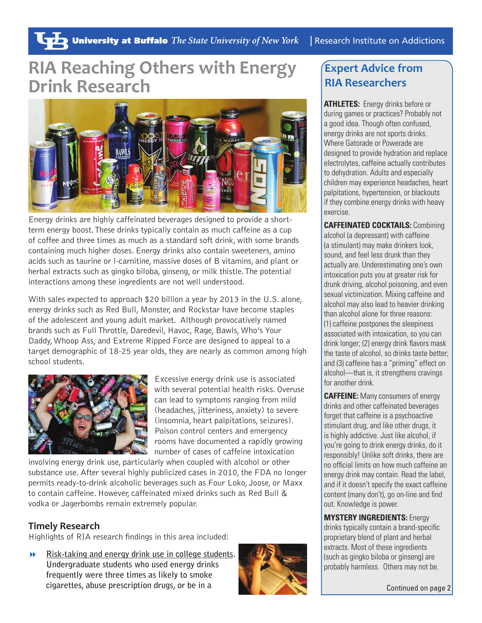# **RIA Reaching Others with Energy Drink Research**



Energy drinks are highly caffeinated beverages designed to provide a shortterm energy boost. These drinks typically contain as much caffeine as a cup of coffee and three times as much as a standard soft drink, with some brands containing much higher doses. Energy drinks also contain sweeteners, amino acids such as taurine or l-carnitine, massive doses of B vitamins, and plant or herbal extracts such as gingko biloba, ginseng, or milk thistle. The potential interactions among these ingredients are not well understood.

With sales expected to approach \$20 billion a year by 2013 in the U.S. alone, energy drinks such as Red Bull, Monster, and Rockstar have become staples of the adolescent and young adult market. Although provocatively named brands such as Full Throttle, Daredevil, Havoc, Rage, Bawls, Who's Your Daddy, Whoop Ass, and Extreme Ripped Force are designed to appeal to a target demographic of 18-25 year olds, they are nearly as common among high school students.



Excessive energy drink use is associated with several potential health risks. Overuse can lead to symptoms ranging from mild (headaches, jitteriness, anxiety) to severe (insomnia, heart palpitations, seizures). Poison control centers and emergency rooms have documented a rapidly growing number of cases of caffeine intoxication

involving energy drink use, particularly when coupled with alcohol or other substance use. After several highly publicized cases in 2010, the FDA no longer permits ready-to-drink alcoholic beverages such as Four Loko, Joose, or Maxx to contain caffeine. However, caffeinated mixed drinks such as Red Bull & vodka or Jagerbombs remain extremely popular.

#### **Timely Research**

Highlights of RIA research findings in this area included:

**Risk-taking and energy drink use in college students. Undergraduate students who used energy drinks frequently were three times as likely to smoke cigarettes, abuse prescription drugs, or be in a** 



## **Expert Advice from RIA Researchers**

**ATHLETES:** Energy drinks before or during games or practices? Probably not a good idea. Though often confused, energy drinks are not sports drinks. Where Gatorade or Powerade are designed to provide hydration and replace electrolytes, caffeine actually contributes to dehydration. Adults and especially children may experience headaches, heart palpitations, hypertension, or blackouts if they combine energy drinks with heavy exercise.

**CAFFEINATED COCKTAILS:** Combining alcohol (a depressant) with caffeine (a stimulant) may make drinkers look, sound, and feel less drunk than they actually are. Underestimating one's own intoxication puts you at greater risk for drunk driving, alcohol poisoning, and even sexual victimization. Mixing caffeine and alcohol may also lead to heavier drinking than alcohol alone for three reasons: (1) caffeine postpones the sleepiness associated with intoxication, so you can drink longer; (2) energy drink flavors mask the taste of alcohol, so drinks taste better; and (3) caffeine has a "priming" effect on alcohol—that is, it strengthens cravings for another drink.

**CAFFEINE:** Many consumers of energy drinks and other caffeinated beverages forget that caffeine is a psychoactive stimulant drug, and like other drugs, it is highly addictive. Just like alcohol, if you're going to drink energy drinks, do it responsibly! Unlike soft drinks, there are no official limits on how much caffeine an energy drink may contain. Read the label, and if it doesn't specify the exact caffeine content (many don't), go on-line and find out. Knowledge is power.

**MYSTERY INGREDIENTS:** Energy drinks typically contain a brand-specific proprietary blend of plant and herbal extracts. Most of these ingredients (such as gingko biloba or ginseng) are probably harmless. Others may not be.